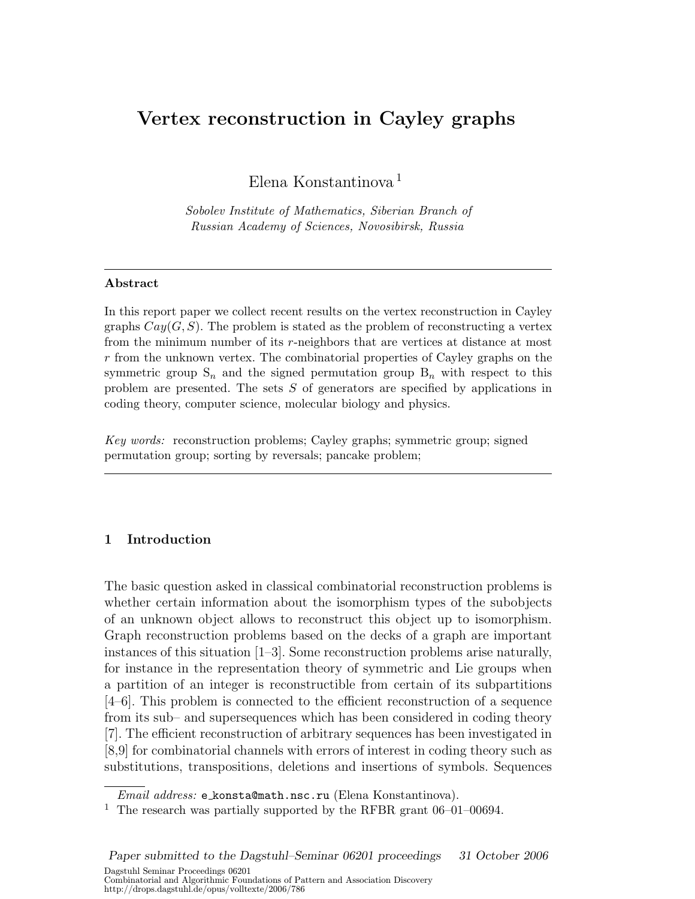# Vertex reconstruction in Cayley graphs

Elena Konstantinova <sup>1</sup>

Sobolev Institute of Mathematics, Siberian Branch of Russian Academy of Sciences, Novosibirsk, Russia

## Abstract

In this report paper we collect recent results on the vertex reconstruction in Cayley graphs  $Cay(G, S)$ . The problem is stated as the problem of reconstructing a vertex from the minimum number of its r-neighbors that are vertices at distance at most  $r$  from the unknown vertex. The combinatorial properties of Cayley graphs on the symmetric group  $S_n$  and the signed permutation group  $B_n$  with respect to this problem are presented. The sets S of generators are specified by applications in coding theory, computer science, molecular biology and physics.

Key words: reconstruction problems; Cayley graphs; symmetric group; signed permutation group; sorting by reversals; pancake problem;

# 1 Introduction

The basic question asked in classical combinatorial reconstruction problems is whether certain information about the isomorphism types of the subobjects of an unknown object allows to reconstruct this object up to isomorphism. Graph reconstruction problems based on the decks of a graph are important instances of this situation [1–3]. Some reconstruction problems arise naturally, for instance in the representation theory of symmetric and Lie groups when a partition of an integer is reconstructible from certain of its subpartitions [4–6]. This problem is connected to the efficient reconstruction of a sequence from its sub– and supersequences which has been considered in coding theory [7]. The efficient reconstruction of arbitrary sequences has been investigated in [8,9] for combinatorial channels with errors of interest in coding theory such as substitutions, transpositions, deletions and insertions of symbols. Sequences

Email address: e konsta@math.nsc.ru (Elena Konstantinova).

 $^{\rm 1}$  The research was partially supported by the RFBR grant 06–01–00694.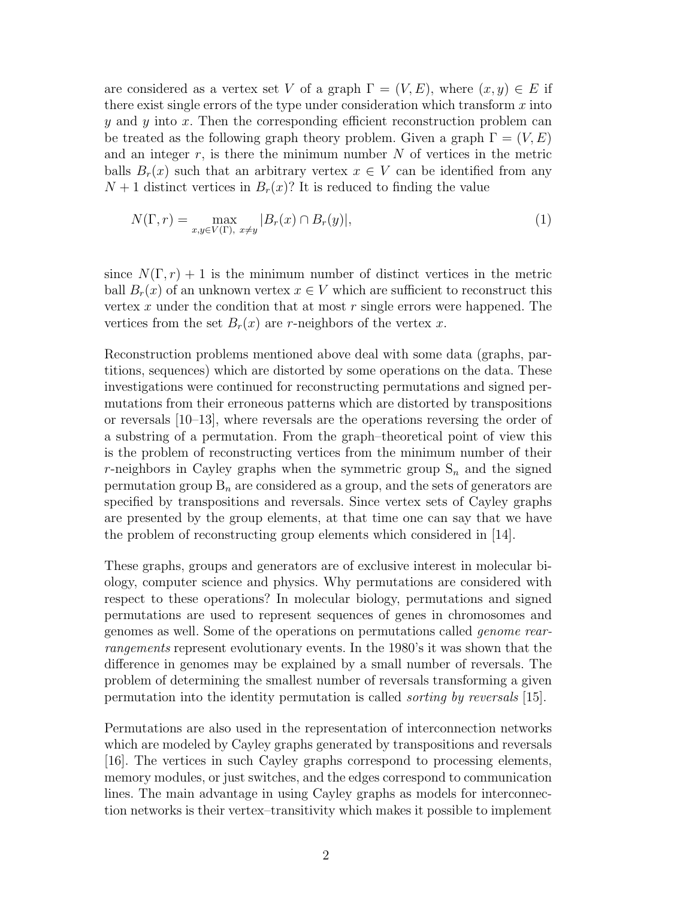are considered as a vertex set V of a graph  $\Gamma = (V, E)$ , where  $(x, y) \in E$  if there exist single errors of the type under consideration which transform  $x$  into y and y into x. Then the corresponding efficient reconstruction problem can be treated as the following graph theory problem. Given a graph  $\Gamma = (V, E)$ and an integer  $r$ , is there the minimum number  $N$  of vertices in the metric balls  $B_r(x)$  such that an arbitrary vertex  $x \in V$  can be identified from any  $N+1$  distinct vertices in  $B_r(x)$ ? It is reduced to finding the value

$$
N(\Gamma, r) = \max_{x, y \in V(\Gamma), \ x \neq y} |B_r(x) \cap B_r(y)|,\tag{1}
$$

since  $N(\Gamma, r) + 1$  is the minimum number of distinct vertices in the metric ball  $B_r(x)$  of an unknown vertex  $x \in V$  which are sufficient to reconstruct this vertex x under the condition that at most  $r$  single errors were happened. The vertices from the set  $B_r(x)$  are r-neighbors of the vertex x.

Reconstruction problems mentioned above deal with some data (graphs, partitions, sequences) which are distorted by some operations on the data. These investigations were continued for reconstructing permutations and signed permutations from their erroneous patterns which are distorted by transpositions or reversals [10–13], where reversals are the operations reversing the order of a substring of a permutation. From the graph–theoretical point of view this is the problem of reconstructing vertices from the minimum number of their r-neighbors in Cayley graphs when the symmetric group  $S_n$  and the signed permutation group  $B_n$  are considered as a group, and the sets of generators are specified by transpositions and reversals. Since vertex sets of Cayley graphs are presented by the group elements, at that time one can say that we have the problem of reconstructing group elements which considered in [14].

These graphs, groups and generators are of exclusive interest in molecular biology, computer science and physics. Why permutations are considered with respect to these operations? In molecular biology, permutations and signed permutations are used to represent sequences of genes in chromosomes and genomes as well. Some of the operations on permutations called genome rearrangements represent evolutionary events. In the 1980's it was shown that the difference in genomes may be explained by a small number of reversals. The problem of determining the smallest number of reversals transforming a given permutation into the identity permutation is called sorting by reversals [15].

Permutations are also used in the representation of interconnection networks which are modeled by Cayley graphs generated by transpositions and reversals [16]. The vertices in such Cayley graphs correspond to processing elements, memory modules, or just switches, and the edges correspond to communication lines. The main advantage in using Cayley graphs as models for interconnection networks is their vertex–transitivity which makes it possible to implement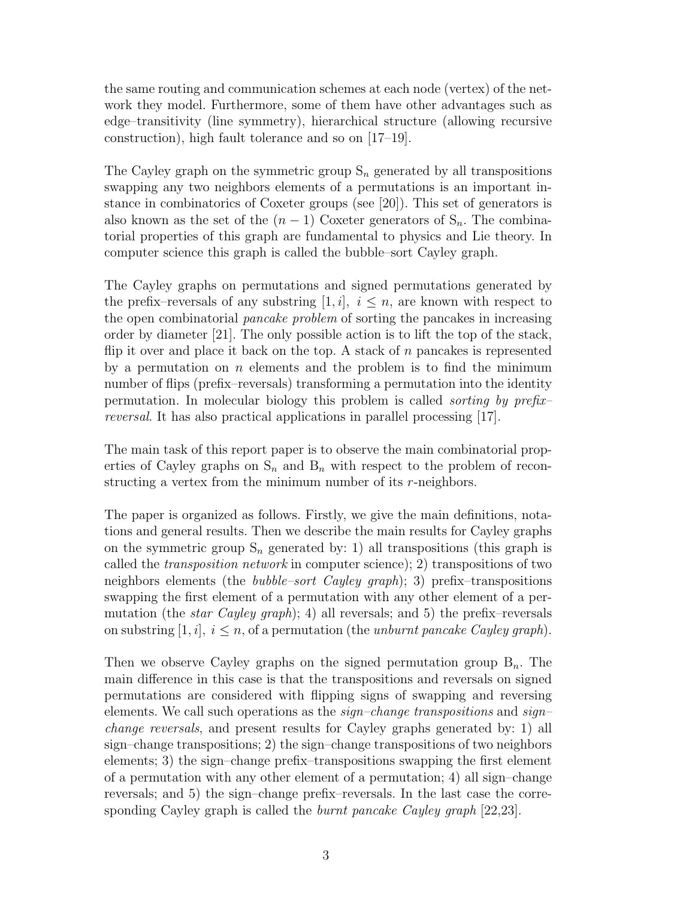the same routing and communication schemes at each node (vertex) of the network they model. Furthermore, some of them have other advantages such as edge–transitivity (line symmetry), hierarchical structure (allowing recursive construction), high fault tolerance and so on [17–19].

The Cayley graph on the symmetric group  $S_n$  generated by all transpositions swapping any two neighbors elements of a permutations is an important instance in combinatorics of Coxeter groups (see [20]). This set of generators is also known as the set of the  $(n-1)$  Coxeter generators of  $S_n$ . The combinatorial properties of this graph are fundamental to physics and Lie theory. In computer science this graph is called the bubble–sort Cayley graph.

The Cayley graphs on permutations and signed permutations generated by the prefix–reversals of any substring  $[1, i]$ ,  $i \leq n$ , are known with respect to the open combinatorial pancake problem of sorting the pancakes in increasing order by diameter [21]. The only possible action is to lift the top of the stack, flip it over and place it back on the top. A stack of  $n$  pancakes is represented by a permutation on  $n$  elements and the problem is to find the minimum number of flips (prefix–reversals) transforming a permutation into the identity permutation. In molecular biology this problem is called sorting by prefix– reversal. It has also practical applications in parallel processing [17].

The main task of this report paper is to observe the main combinatorial properties of Cayley graphs on  $S_n$  and  $B_n$  with respect to the problem of reconstructing a vertex from the minimum number of its r-neighbors.

The paper is organized as follows. Firstly, we give the main definitions, notations and general results. Then we describe the main results for Cayley graphs on the symmetric group  $S_n$  generated by: 1) all transpositions (this graph is called the transposition network in computer science); 2) transpositions of two neighbors elements (the *bubble–sort Cayley graph*); 3) prefix–transpositions swapping the first element of a permutation with any other element of a permutation (the *star Cayley graph*); 4) all reversals; and 5) the prefix–reversals on substring [1, i],  $i \leq n$ , of a permutation (the *unburnt pancake Cayley graph*).

Then we observe Cayley graphs on the signed permutation group  $B_n$ . The main difference in this case is that the transpositions and reversals on signed permutations are considered with flipping signs of swapping and reversing elements. We call such operations as the  $sign-change$  transpositions and  $sign$ change reversals, and present results for Cayley graphs generated by: 1) all sign–change transpositions; 2) the sign–change transpositions of two neighbors elements; 3) the sign–change prefix–transpositions swapping the first element of a permutation with any other element of a permutation; 4) all sign–change reversals; and 5) the sign–change prefix–reversals. In the last case the corresponding Cayley graph is called the *burnt pancake Cayley graph* [22,23].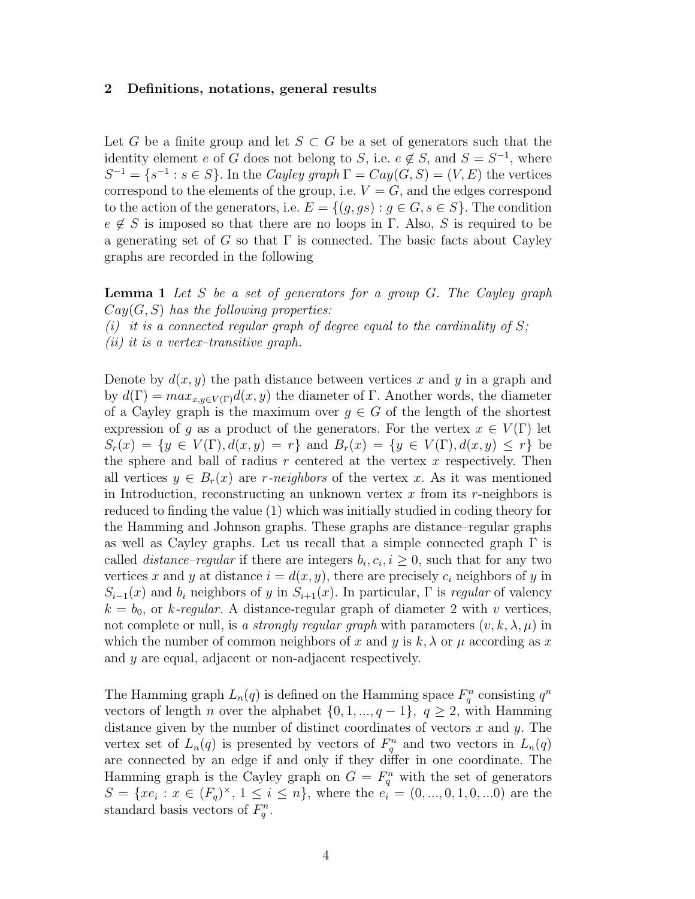### 2 Definitions, notations, general results

Let G be a finite group and let  $S \subset G$  be a set of generators such that the identity element e of G does not belong to S, i.e.  $e \notin S$ , and  $S = S^{-1}$ , where  $S^{-1} = \{s^{-1} : s \in S\}$ . In the Cayley graph  $\Gamma = Cay(G, S) = (V, E)$  the vertices correspond to the elements of the group, i.e.  $V = G$ , and the edges correspond to the action of the generators, i.e.  $E = \{(g, gs) : g \in G, s \in S\}$ . The condition  $e \notin S$  is imposed so that there are no loops in Γ. Also, S is required to be a generating set of G so that  $\Gamma$  is connected. The basic facts about Cayley graphs are recorded in the following

**Lemma 1** Let S be a set of generators for a group  $G$ . The Cayley graph  $Cay(G, S)$  has the following properties:

(i) it is a connected regular graph of degree equal to the cardinality of  $S$ ;

(ii) it is a vertex–transitive graph.

Denote by  $d(x, y)$  the path distance between vertices x and y in a graph and by  $d(\Gamma) = max_{x,y \in V(\Gamma)} d(x,y)$  the diameter of Γ. Another words, the diameter of a Cayley graph is the maximum over  $g \in G$  of the length of the shortest expression of g as a product of the generators. For the vertex  $x \in V(\Gamma)$  let  $S_r(x) = \{y \in V(\Gamma), d(x, y) = r\}$  and  $B_r(x) = \{y \in V(\Gamma), d(x, y) \leq r\}$  be the sphere and ball of radius  $r$  centered at the vertex  $x$  respectively. Then all vertices  $y \in B_r(x)$  are r-neighbors of the vertex x. As it was mentioned in Introduction, reconstructing an unknown vertex  $x$  from its r-neighbors is reduced to finding the value (1) which was initially studied in coding theory for the Hamming and Johnson graphs. These graphs are distance–regular graphs as well as Cayley graphs. Let us recall that a simple connected graph  $\Gamma$  is called *distance–regular* if there are integers  $b_i, c_i, i \geq 0$ , such that for any two vertices x and y at distance  $i = d(x, y)$ , there are precisely  $c_i$  neighbors of y in  $S_{i-1}(x)$  and  $b_i$  neighbors of y in  $S_{i+1}(x)$ . In particular,  $\Gamma$  is regular of valency  $k = b_0$ , or k-regular. A distance-regular graph of diameter 2 with v vertices, not complete or null, is a strongly regular graph with parameters  $(v, k, \lambda, \mu)$  in which the number of common neighbors of x and y is  $k, \lambda$  or  $\mu$  according as x and y are equal, adjacent or non-adjacent respectively.

The Hamming graph  $L_n(q)$  is defined on the Hamming space  $F_q^n$  consisting  $q^n$ vectors of length *n* over the alphabet  $\{0, 1, ..., q - 1\}$ ,  $q \ge 2$ , with Hamming distance given by the number of distinct coordinates of vectors x and y. The vertex set of  $L_n(q)$  is presented by vectors of  $F_q^n$  and two vectors in  $L_n(q)$ are connected by an edge if and only if they differ in one coordinate. The Hamming graph is the Cayley graph on  $G = F_q^n$  with the set of generators  $S = \{xe_i : x \in (F_q)^{\times}, 1 \leq i \leq n\},\$  where the  $e_i = (0, ..., 0, 1, 0, ...0)$  are the standard basis vectors of  $F_q^n$ .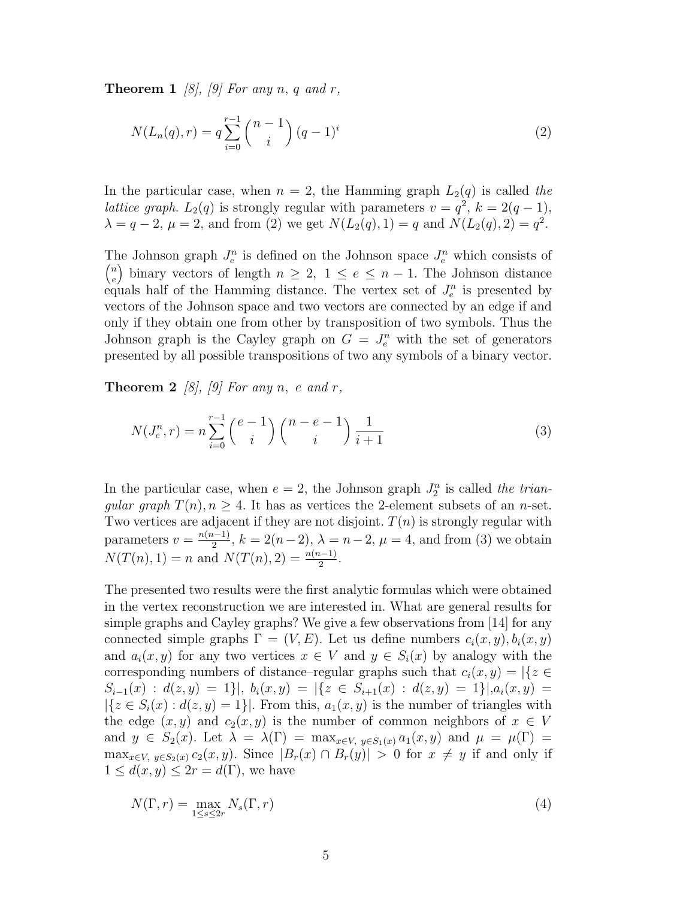**Theorem 1** [8], [9] For any n, q and r,

$$
N(L_n(q), r) = q \sum_{i=0}^{r-1} {n-1 \choose i} (q-1)^i
$$
 (2)

In the particular case, when  $n = 2$ , the Hamming graph  $L_2(q)$  is called the *lattice graph.*  $L_2(q)$  is strongly regular with parameters  $v = q^2$ ,  $k = 2(q - 1)$ ,  $\lambda = q - 2, \mu = 2$ , and from (2) we get  $N(L_2(q), 1) = q$  and  $N(L_2(q), 2) = q^2$ .

The Johnson graph  $J_e^n$  is defined on the Johnson space  $J_e^n$  which consists of n  $e^{\binom{n}{e}}$  binary vectors of length  $n \geq 2$ ,  $1 \leq e \leq n-1$ . The Johnson distance equals half of the Hamming distance. The vertex set of  $J_e^n$  is presented by vectors of the Johnson space and two vectors are connected by an edge if and only if they obtain one from other by transposition of two symbols. Thus the Johnson graph is the Cayley graph on  $G = J_e^n$  with the set of generators presented by all possible transpositions of two any symbols of a binary vector.

**Theorem 2** [8], [9] For any n, e and r,

$$
N(J_e^n, r) = n \sum_{i=0}^{r-1} {e-1 \choose i} {n-e-1 \choose i} \frac{1}{i+1}
$$
 (3)

In the particular case, when  $e = 2$ , the Johnson graph  $J_2^n$  is called the triangular graph  $T(n)$ ,  $n \geq 4$ . It has as vertices the 2-element subsets of an n-set. Two vertices are adjacent if they are not disjoint.  $T(n)$  is strongly regular with parameters  $v = \frac{n(n-1)}{2}$  $\frac{(n-1)}{2}$ ,  $k = 2(n-2)$ ,  $\lambda = n-2$ ,  $\mu = 4$ , and from (3) we obtain  $N(T(n), 1) = n$  and  $N(T(n), 2) = \frac{n(n-1)}{2}$ .

The presented two results were the first analytic formulas which were obtained in the vertex reconstruction we are interested in. What are general results for simple graphs and Cayley graphs? We give a few observations from [14] for any connected simple graphs  $\Gamma = (V, E)$ . Let us define numbers  $c_i(x, y), b_i(x, y)$ and  $a_i(x, y)$  for any two vertices  $x \in V$  and  $y \in S_i(x)$  by analogy with the corresponding numbers of distance–regular graphs such that  $c_i(x, y) = |\{z \in$  $S_{i-1}(x) : d(z, y) = 1$ ,  $b_i(x, y) = |\{z \in S_{i+1}(x) : d(z, y) = 1\}|, a_i(x, y) = 1$  $|\{z \in S_i(x) : d(z, y) = 1\}|$ . From this,  $a_1(x, y)$  is the number of triangles with the edge  $(x, y)$  and  $c_2(x, y)$  is the number of common neighbors of  $x \in V$ and  $y \in S_2(x)$ . Let  $\lambda = \lambda(\Gamma) = \max_{x \in V, y \in S_1(x)} a_1(x, y)$  and  $\mu = \mu(\Gamma) =$  $\max_{x \in V, y \in S_2(x)} c_2(x, y)$ . Since  $|B_r(x) \cap B_r(y)| > 0$  for  $x \neq y$  if and only if  $1 \leq d(x, y) \leq 2r = d(\Gamma)$ , we have

$$
N(\Gamma, r) = \max_{1 \le s \le 2r} N_s(\Gamma, r) \tag{4}
$$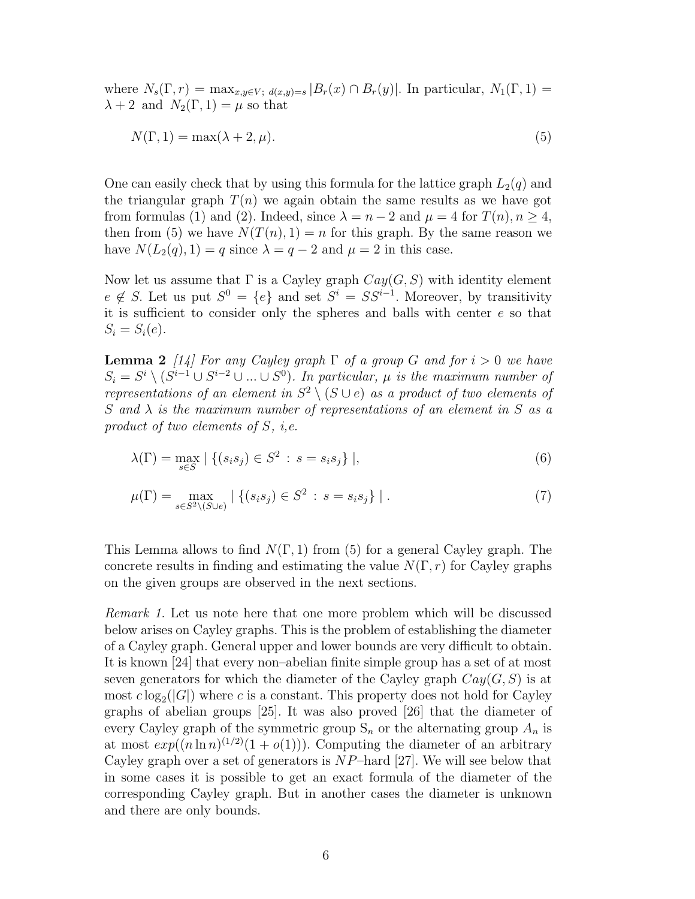where  $N_s(\Gamma, r) = \max_{x,y \in V; d(x,y)=s} |B_r(x) \cap B_r(y)|$ . In particular,  $N_1(\Gamma, 1) =$  $\lambda + 2$  and  $N_2(\Gamma, 1) = \mu$  so that

$$
N(\Gamma, 1) = \max(\lambda + 2, \mu). \tag{5}
$$

One can easily check that by using this formula for the lattice graph  $L_2(q)$  and the triangular graph  $T(n)$  we again obtain the same results as we have got from formulas (1) and (2). Indeed, since  $\lambda = n - 2$  and  $\mu = 4$  for  $T(n)$ ,  $n \ge 4$ , then from (5) we have  $N(T(n), 1) = n$  for this graph. By the same reason we have  $N(L_2(q), 1) = q$  since  $\lambda = q - 2$  and  $\mu = 2$  in this case.

Now let us assume that  $\Gamma$  is a Cayley graph  $Cay(G, S)$  with identity element  $e \notin S$ . Let us put  $S^0 = \{e\}$  and set  $S^i = SS^{i-1}$ . Moreover, by transitivity it is sufficient to consider only the spheres and balls with center  $e$  so that  $S_i = S_i(e)$ .

**Lemma 2** [14] For any Cayley graph  $\Gamma$  of a group G and for  $i > 0$  we have  $S_i = S^i \setminus (S^{i-1} \cup S^{i-2} \cup ... \cup S^0)$ . In particular,  $\mu$  is the maximum number of representations of an element in  $S^2 \setminus (S \cup e)$  as a product of two elements of S and  $\lambda$  is the maximum number of representations of an element in S as a product of two elements of S, i,e.

$$
\lambda(\Gamma) = \max_{s \in S} \mid \{ (s_i s_j) \in S^2 \, : \, s = s_i s_j \} \mid,
$$
\n(6)

$$
\mu(\Gamma) = \max_{s \in S^2 \setminus (S \cup e)} | \{ (s_i s_j) \in S^2 : s = s_i s_j \} |.
$$
\n(7)

This Lemma allows to find  $N(\Gamma, 1)$  from (5) for a general Cayley graph. The concrete results in finding and estimating the value  $N(\Gamma, r)$  for Cayley graphs on the given groups are observed in the next sections.

Remark 1. Let us note here that one more problem which will be discussed below arises on Cayley graphs. This is the problem of establishing the diameter of a Cayley graph. General upper and lower bounds are very difficult to obtain. It is known [24] that every non–abelian finite simple group has a set of at most seven generators for which the diameter of the Cayley graph  $Cay(G, S)$  is at most  $c \log_2(|G|)$  where c is a constant. This property does not hold for Cayley graphs of abelian groups [25]. It was also proved [26] that the diameter of every Cayley graph of the symmetric group  $S_n$  or the alternating group  $A_n$  is at most  $exp((n \ln n)^{(1/2)}(1+o(1)))$ . Computing the diameter of an arbitrary Cayley graph over a set of generators is  $NP$ -hard [27]. We will see below that in some cases it is possible to get an exact formula of the diameter of the corresponding Cayley graph. But in another cases the diameter is unknown and there are only bounds.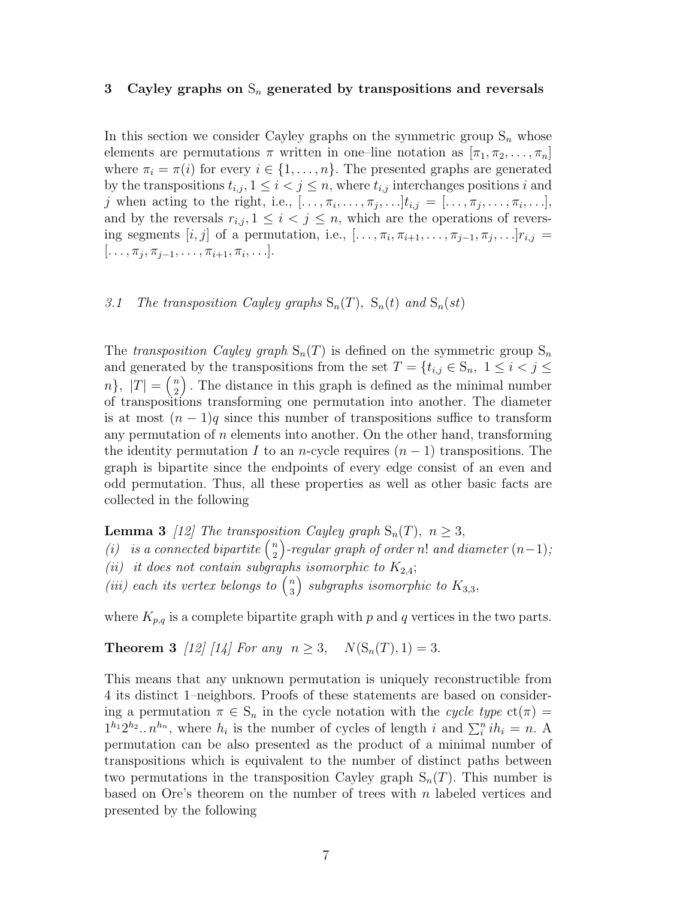### 3 Cayley graphs on  $S_n$  generated by transpositions and reversals

In this section we consider Cayley graphs on the symmetric group  $S_n$  whose elements are permutations  $\pi$  written in one–line notation as  $[\pi_1, \pi_2, \ldots, \pi_n]$ where  $\pi_i = \pi(i)$  for every  $i \in \{1, ..., n\}$ . The presented graphs are generated by the transpositions  $t_{i,j}, 1 \leq i < j \leq n$ , where  $t_{i,j}$  interchanges positions i and j when acting to the right, i.e.,  $[\ldots, \pi_i, \ldots, \pi_j, \ldots]$  $t_{i,j} = [\ldots, \pi_j, \ldots, \pi_i, \ldots],$ and by the reversals  $r_{i,j}, 1 \leq i \leq j \leq n$ , which are the operations of reversing segments  $[i, j]$  of a permutation, i.e.,  $[\ldots, \pi_i, \pi_{i+1}, \ldots, \pi_{j-1}, \pi_j, \ldots]$  $r_{i,j} =$  $[\ldots, \pi_j, \pi_{j-1}, \ldots, \pi_{i+1}, \pi_i, \ldots].$ 

## 3.1 The transposition Cayley graphs  $S_n(T)$ ,  $S_n(t)$  and  $S_n(st)$

The transposition Cayley graph  $S_n(T)$  is defined on the symmetric group  $S_n$ and generated by the transpositions from the set  $T = \{t_{i,j} \in S_n, 1 \leq i < j \leq n\}$  $n\},\ |T| = \binom{n}{2}$  $\binom{n}{2}$ . The distance in this graph is defined as the minimal number of transpositions transforming one permutation into another. The diameter is at most  $(n-1)q$  since this number of transpositions suffice to transform any permutation of  $n$  elements into another. On the other hand, transforming the identity permutation I to an n-cycle requires  $(n-1)$  transpositions. The graph is bipartite since the endpoints of every edge consist of an even and odd permutation. Thus, all these properties as well as other basic facts are collected in the following

**Lemma 3** [12] The transposition Cayley graph  $S_n(T)$ ,  $n \geq 3$ , **Lemma 3** [12] The transposition (*i*) is a connected bipartite  $\binom{n}{2}$  $\binom{n}{2}$ -regular graph of order n! and diameter  $(n{-}1);$ (ii) it does not contain subgraphs isomorphic to  $K_{2,4}$ ; (*ii*) *u* abes not contain subgraph<br>(*iii*) each its vertex belongs to  $\binom{n}{3}$  $\binom{n}{3}$  subgraphs isomorphic to  $K_{3,3}$ ,

where  $K_{p,q}$  is a complete bipartite graph with p and q vertices in the two parts.

**Theorem 3** [12] [14] For any  $n \ge 3$ ,  $N(S_n(T), 1) = 3$ .

This means that any unknown permutation is uniquely reconstructible from 4 its distinct 1–neighbors. Proofs of these statements are based on considering a permutation  $\pi \in S_n$  in the cycle notation with the cycle type  $ct(\pi)$  =  $1^{h_1}2^{h_2} \tcdot n^{h_n}$ , where  $h_i$  is the number of cycles of length i and  $\sum_i^n ih_i = n$ . A permutation can be also presented as the product of a minimal number of transpositions which is equivalent to the number of distinct paths between two permutations in the transposition Cayley graph  $S_n(T)$ . This number is based on Ore's theorem on the number of trees with  $n$  labeled vertices and presented by the following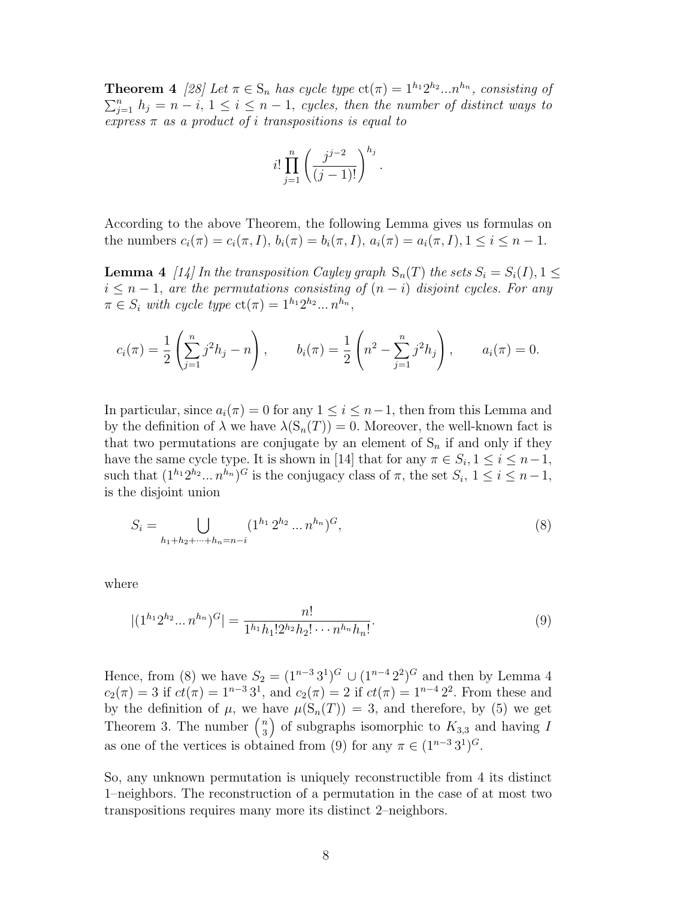**Theorem 4** [28] Let  $\pi \in S_n$  has cycle type  $ct(\pi) = 1^{h_1} 2^{h_2} ... n^{h_n}$ , consisting of  $\sum_{j=1}^{n} h_j = n - i, 1 \le i \le n - 1$ , cycles, then the number of distinct ways to express  $\pi$  as a product of *i* transpositions is equal to

$$
i!\prod_{j=1}^{n} \left(\frac{j^{j-2}}{(j-1)!}\right)^{h_j}.
$$

According to the above Theorem, the following Lemma gives us formulas on the numbers  $c_i(\pi) = c_i(\pi, I), b_i(\pi) = b_i(\pi, I), a_i(\pi) = a_i(\pi, I), 1 \leq i \leq n - 1.$ 

**Lemma 4** [14] In the transposition Cayley graph  $S_n(T)$  the sets  $S_i = S_i(I), 1 \leq$  $i \leq n-1$ , are the permutations consisting of  $(n-i)$  disjoint cycles. For any  $\pi \in S_i$  with cycle type  $ct(\pi) = 1^{h_1} 2^{h_2} ... n^{h_n}$ ,

$$
c_i(\pi) = \frac{1}{2} \left( \sum_{j=1}^n j^2 h_j - n \right), \qquad b_i(\pi) = \frac{1}{2} \left( n^2 - \sum_{j=1}^n j^2 h_j \right), \qquad a_i(\pi) = 0.
$$

In particular, since  $a_i(\pi) = 0$  for any  $1 \leq i \leq n-1$ , then from this Lemma and by the definition of  $\lambda$  we have  $\lambda(S_n(T)) = 0$ . Moreover, the well-known fact is that two permutations are conjugate by an element of  $S_n$  if and only if they have the same cycle type. It is shown in [14] that for any  $\pi \in S_i$ ,  $1 \le i \le n-1$ , such that  $(1^{h_1}2^{h_2}...n^{h_n})^G$  is the conjugacy class of  $\pi$ , the set  $S_i$ ,  $1 \le i \le n-1$ , is the disjoint union

$$
S_i = \bigcup_{h_1 + h_2 + \dots + h_n = n - i} (1^{h_1} 2^{h_2} \dots n^{h_n})^G,
$$
\n(8)

where

$$
|(1^{h_1}2^{h_2}\dots n^{h_n})^G| = \frac{n!}{1^{h_1}h_1!2^{h_2}h_2!\cdots n^{h_n}h_n!}.
$$
\n(9)

Hence, from (8) we have  $S_2 = (1^{n-3}3^1)^G \cup (1^{n-4}2^2)^G$  and then by Lemma 4  $c_2(\pi) = 3$  if  $ct(\pi) = 1^{n-3}3^1$ , and  $c_2(\pi) = 2$  if  $ct(\pi) = 1^{n-4}2^2$ . From these and by the definition of  $\mu$ , we have  $\mu(S_n(T)) = 3$ , and therefore, by (5) we get by the definition of  $\mu$ , we have the number  $\binom{n}{3}$  $S_3^n$ ) of subgraphs isomorphic to  $K_{3,3}$  and having I as one of the vertices is obtained from (9) for any  $\pi \in (1^{n-3}3^1)^G$ .

So, any unknown permutation is uniquely reconstructible from 4 its distinct 1–neighbors. The reconstruction of a permutation in the case of at most two transpositions requires many more its distinct 2–neighbors.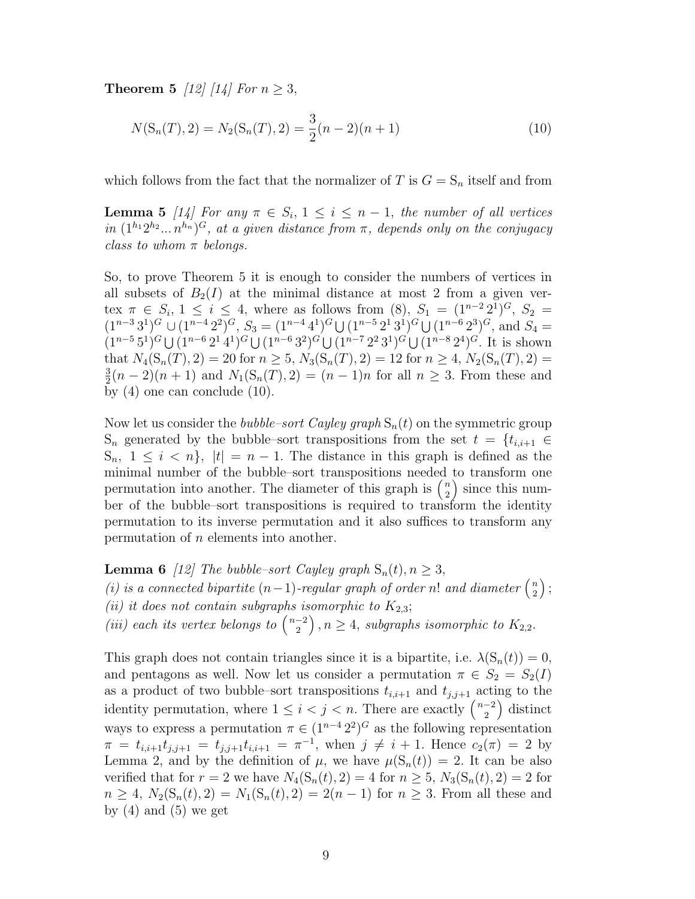**Theorem 5** [12] [14] For  $n > 3$ ,

$$
N(S_n(T), 2) = N_2(S_n(T), 2) = \frac{3}{2}(n - 2)(n + 1)
$$
\n(10)

which follows from the fact that the normalizer of T is  $G = S_n$  itself and from

**Lemma 5** [14] For any  $\pi \in S_i$ ,  $1 \leq i \leq n-1$ , the number of all vertices in  $(1^{h_1}2^{h_2}...n^{h_n})^G$ , at a given distance from  $\pi$ , depends only on the conjugacy class to whom  $\pi$  belongs.

So, to prove Theorem 5 it is enough to consider the numbers of vertices in all subsets of  $B_2(I)$  at the minimal distance at most 2 from a given vertex  $\pi \in S_i$ ,  $1 \le i \le 4$ , where as follows from (8),  $S_1 = (1^{n-2} 2^1)^G$ ,  $S_2 =$  $(1^{n-3}3^1)^G \cup (1^{n-4}2^2)^G$ ,  $S_3 = (1^{n-4}4^1)^G \cup (1^{n-5}2^13^1)^G \cup (1^{n-6}2^3)^G$ , and  $S_4 =$  $(1^{n-5}5^1)^G \cup (1^{n-6}2^14^1)^G \cup (1^{n-6}3^2)^G \cup (1^{n-7}2^23^1)^G \cup (1^{n-8}2^4)^G$ . It is shown that  $N_4(S_n(T), 2) = 20$  for  $n \ge 5$ ,  $N_3(S_n(T), 2) = 12$  for  $n \ge 4$ ,  $N_2(S_n(T), 2) =$ 3  $\frac{3}{2}(n-2)(n+1)$  and  $N_1(S_n(T), 2) = (n-1)n$  for all  $n \ge 3$ . From these and by (4) one can conclude (10).

Now let us consider the *bubble–sort Cayley graph*  $S_n(t)$  on the symmetric group  $S_n$  generated by the bubble–sort transpositions from the set  $t = \{t_{i,i+1} \in$  $S_n$ ,  $1 \leq i \leq n$ ,  $|t| = n - 1$ . The distance in this graph is defined as the minimal number of the bubble–sort transpositions needed to transform one minimal number of the bubble–sort transpositions needed<br>permutation into another. The diameter of this graph is  $\binom{n}{2}$  $\binom{n}{2}$  since this number of the bubble–sort transpositions is required to transform the identity permutation to its inverse permutation and it also suffices to transform any permutation of n elements into another.

**Lemma 6** [12] The bubble–sort Cayley graph  $S_n(t)$ ,  $n \geq 3$ , **Example 1** Lemma **o** [1z] The valuate–sort Cayley graph  $S_n(t), n \geq S$ ,<br>(i) is a connected bipartite  $(n-1)$ -regular graph of order n! and diameter  $\binom{n}{2}$ 2 ´ ; (ii) it does not contain subgraphs isomorphic to  $K_{2,3}$ ; (*ii*) each its vertex belongs to  $\binom{n-2}{2}$  $\binom{-2}{2}$ ,  $n \geq 4$ , subgraphs isomorphic to  $K_{2,2}$ .

This graph does not contain triangles since it is a bipartite, i.e.  $\lambda(S_n(t)) = 0$ , and pentagons as well. Now let us consider a permutation  $\pi \in S_2 = S_2(I)$ as a product of two bubble–sort transpositions  $t_{i,i+1}$  and  $t_{j,j+1}$  acting to the as a product of two bubble sort transpositions  $i_{i,i+1}$  and  $i_{j,j+1}$  acts identity permutation, where  $1 \leq i < j < n$ . There are exactly  $\binom{n-2}{2}$  $\binom{-2}{2}$  distinct ways to express a permutation  $\pi \in (1^{n-4} 2^2)^G$  as the following representation  $\pi = t_{i,i+1}t_{j,j+1} = t_{j,j+1}t_{i,i+1} = \pi^{-1}$ , when  $j \neq i+1$ . Hence  $c_2(\pi) = 2$  by Lemma 2, and by the definition of  $\mu$ , we have  $\mu(S_n(t)) = 2$ . It can be also verified that for  $r = 2$  we have  $N_4(S_n(t), 2) = 4$  for  $n \geq 5$ ,  $N_3(S_n(t), 2) = 2$  for  $n \geq 4$ ,  $N_2(S_n(t), 2) = N_1(S_n(t), 2) = 2(n - 1)$  for  $n \geq 3$ . From all these and by  $(4)$  and  $(5)$  we get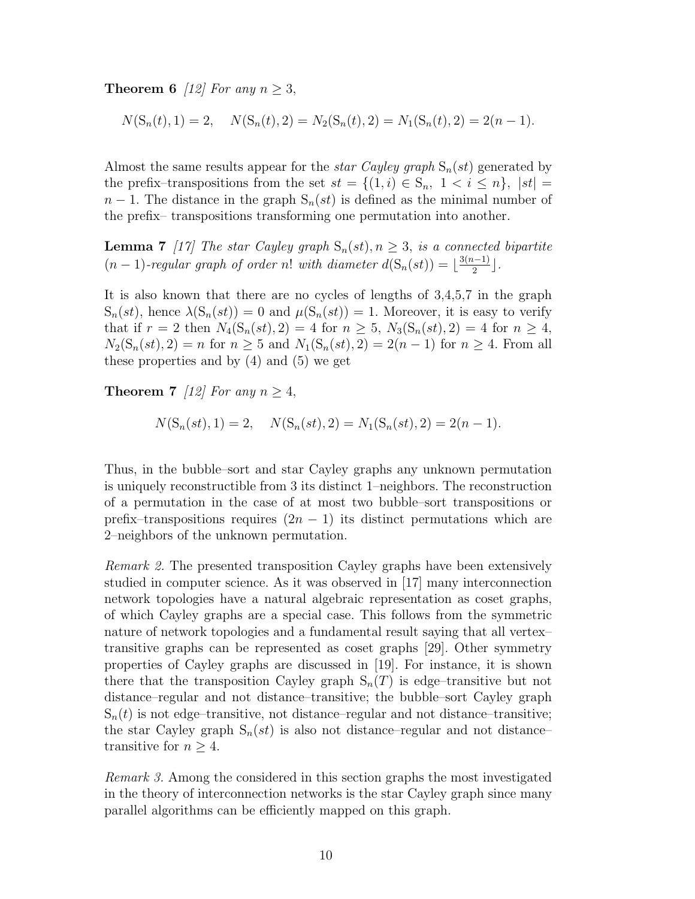**Theorem 6** [12] For any  $n > 3$ ,

 $N(S_n(t), 1) = 2, \quad N(S_n(t), 2) = N_2(S_n(t), 2) = N_1(S_n(t), 2) = 2(n - 1).$ 

Almost the same results appear for the *star Cayley graph*  $S_n(st)$  generated by the prefix–transpositions from the set  $st = \{(1,i) \in S_n, 1 \le i \le n\}, |st| =$  $n-1$ . The distance in the graph  $S_n(st)$  is defined as the minimal number of the prefix– transpositions transforming one permutation into another.

**Lemma 7** [17] The star Cayley graph  $S_n(st)$ ,  $n \geq 3$ , is a connected bipartite  $(n-1)$ -regular graph of order n! with diameter  $d(S_n(st)) = \lfloor \frac{3(n-1)}{2} \rfloor$  $\frac{(-1)}{2}$ .

It is also known that there are no cycles of lengths of 3,4,5,7 in the graph  $S_n(st)$ , hence  $\lambda(S_n(st)) = 0$  and  $\mu(S_n(st)) = 1$ . Moreover, it is easy to verify that if  $r = 2$  then  $N_4(S_n(st), 2) = 4$  for  $n \ge 5$ ,  $N_3(S_n(st), 2) = 4$  for  $n \ge 4$ ,  $N_2(S_n(st), 2) = n$  for  $n \ge 5$  and  $N_1(S_n(st), 2) = 2(n - 1)$  for  $n \ge 4$ . From all these properties and by  $(4)$  and  $(5)$  we get

**Theorem 7** [12] For any  $n \geq 4$ ,

$$
N(S_n(st), 1) = 2, \quad N(S_n(st), 2) = N_1(S_n(st), 2) = 2(n - 1).
$$

Thus, in the bubble–sort and star Cayley graphs any unknown permutation is uniquely reconstructible from 3 its distinct 1–neighbors. The reconstruction of a permutation in the case of at most two bubble–sort transpositions or prefix–transpositions requires  $(2n - 1)$  its distinct permutations which are 2–neighbors of the unknown permutation.

Remark 2. The presented transposition Cayley graphs have been extensively studied in computer science. As it was observed in [17] many interconnection network topologies have a natural algebraic representation as coset graphs, of which Cayley graphs are a special case. This follows from the symmetric nature of network topologies and a fundamental result saying that all vertex– transitive graphs can be represented as coset graphs [29]. Other symmetry properties of Cayley graphs are discussed in [19]. For instance, it is shown there that the transposition Cayley graph  $S_n(T)$  is edge–transitive but not distance–regular and not distance–transitive; the bubble–sort Cayley graph  $S_n(t)$  is not edge–transitive, not distance–regular and not distance–transitive; the star Cayley graph  $S_n(st)$  is also not distance–regular and not distance– transitive for  $n \geq 4$ .

Remark 3. Among the considered in this section graphs the most investigated in the theory of interconnection networks is the star Cayley graph since many parallel algorithms can be efficiently mapped on this graph.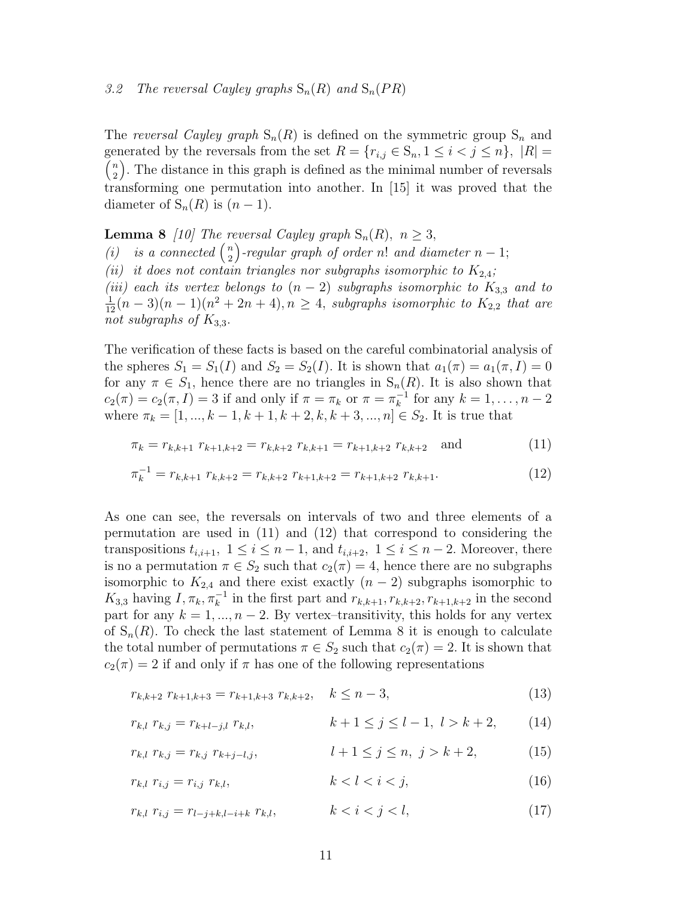### 3.2 The reversal Cayley graphs  $S_n(R)$  and  $S_n(PR)$

The reversal Cayley graph  $S_n(R)$  is defined on the symmetric group  $S_n$  and generated by the reversals from the set  $R = \{r_{i,j} \in S_n, 1 \leq i < j \leq n\}, |R| =$ n  $\binom{n}{2}$ . The distance in this graph is defined as the minimal number of reversals transforming one permutation into another. In [15] it was proved that the diameter of  $S_n(R)$  is  $(n-1)$ .

**Lemma 8** [10] The reversal Cayley graph  $S_n(R)$ ,  $n \geq 3$ , **Lemma**  $\sigma$  [10] The T<sub>1</sub>  $\binom{n}{2}$ -regular graph of order n! and diameter  $n-1;$ (ii) it does not contain triangles nor subgraphs isomorphic to  $K_{2,4}$ ; (iii) each its vertex belongs to  $(n-2)$  subgraphs isomorphic to  $K_{3,3}$  and to  $\frac{1}{12}(n-3)(n-1)(n^2+2n+4), n \ge 4$ , subgraphs isomorphic to  $K_{2,2}$  that are not subgraphs of  $K_{3,3}$ .

The verification of these facts is based on the careful combinatorial analysis of the spheres  $S_1 = S_1(I)$  and  $S_2 = S_2(I)$ . It is shown that  $a_1(\pi) = a_1(\pi, I) = 0$ for any  $\pi \in S_1$ , hence there are no triangles in  $S_n(R)$ . It is also shown that  $c_2(\pi) = c_2(\pi, I) = 3$  if and only if  $\pi = \pi_k$  or  $\pi = \pi_k^{-1}$  for any  $k = 1, \dots, n-2$ where  $\pi_k = [1, ..., k - 1, k + 1, k + 2, k, k + 3, ..., n] \in S_2$ . It is true that

$$
\pi_k = r_{k,k+1} \ r_{k+1,k+2} = r_{k,k+2} \ r_{k,k+1} = r_{k+1,k+2} \ r_{k,k+2} \quad \text{and} \tag{11}
$$

$$
\pi_k^{-1} = r_{k,k+1} \; r_{k,k+2} = r_{k,k+2} \; r_{k+1,k+2} = r_{k+1,k+2} \; r_{k,k+1}.\tag{12}
$$

As one can see, the reversals on intervals of two and three elements of a permutation are used in (11) and (12) that correspond to considering the transpositions  $t_{i,i+1}$ ,  $1 \leq i \leq n-1$ , and  $t_{i,i+2}$ ,  $1 \leq i \leq n-2$ . Moreover, there is no a permutation  $\pi \in S_2$  such that  $c_2(\pi) = 4$ , hence there are no subgraphs isomorphic to  $K_{2,4}$  and there exist exactly  $(n-2)$  subgraphs isomorphic to  $K_{3,3}$  having  $I, \pi_k, \pi_k^{-1}$  in the first part and  $r_{k,k+1}, r_{k,k+2}, r_{k+1,k+2}$  in the second part for any  $k = 1, ..., n - 2$ . By vertex-transitivity, this holds for any vertex of  $S_n(R)$ . To check the last statement of Lemma 8 it is enough to calculate the total number of permutations  $\pi \in S_2$  such that  $c_2(\pi) = 2$ . It is shown that  $c_2(\pi) = 2$  if and only if  $\pi$  has one of the following representations

$$
r_{k,k+2} r_{k+1,k+3} = r_{k+1,k+3} r_{k,k+2}, \quad k \le n-3,
$$
\n(13)

$$
r_{k,l} r_{k,j} = r_{k+l-j,l} r_{k,l}, \qquad k+1 \le j \le l-1, l > k+2, \qquad (14)
$$

$$
r_{k,l} r_{k,j} = r_{k,j} r_{k+j-l,j}, \qquad l+1 \le j \le n, \ j > k+2, \tag{15}
$$

$$
r_{k,l} \ r_{i,j} = r_{i,j} \ r_{k,l}, \qquad k < l < i < j,\tag{16}
$$

$$
r_{k,l} \ r_{i,j} = r_{l-j+k,l-i+k} \ r_{k,l}, \qquad k < i < j < l,\tag{17}
$$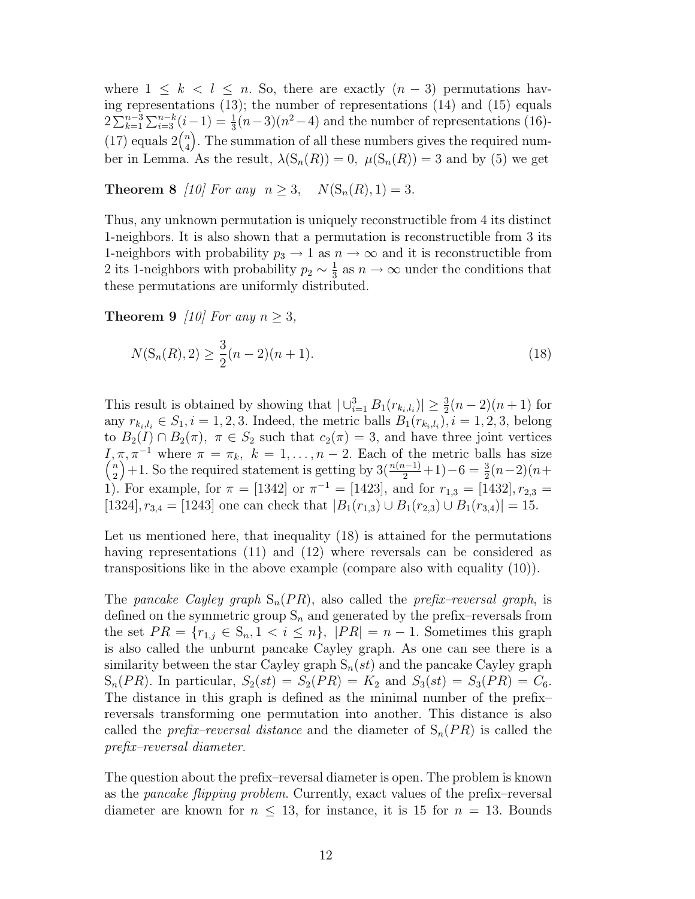where  $1 \leq k \leq l \leq n$ . So, there are exactly  $(n-3)$  permutations having representations (13); the number of representations (14) and (15) equals  $2\sum_{k=1}^{n-3}\sum_{i=3}^{n-k}(i-1) = \frac{1}{3}(n-3)(n^2-4)$  and the number of representations (16)- $\alpha \sum_{k=1}^{\infty} \sum_{i=3}^{\infty}$ <br>(17) equals  $2\binom{n}{4}$  $\binom{n}{4}$ . The summation of all these numbers gives the required number in Lemma. As the result,  $\lambda(S_n(R)) = 0$ ,  $\mu(S_n(R)) = 3$  and by (5) we get

**Theorem 8** [10] For any  $n \ge 3$ ,  $N(S_n(R), 1) = 3$ .

Thus, any unknown permutation is uniquely reconstructible from 4 its distinct 1-neighbors. It is also shown that a permutation is reconstructible from 3 its 1-neighbors with probability  $p_3 \to 1$  as  $n \to \infty$  and it is reconstructible from 2 its 1-neighbors with probability  $p_2 \sim \frac{1}{3}$  $\frac{1}{3}$  as  $n \to \infty$  under the conditions that these permutations are uniformly distributed.

**Theorem 9** [10] For any  $n \geq 3$ ,

$$
N(S_n(R), 2) \ge \frac{3}{2}(n-2)(n+1). \tag{18}
$$

This result is obtained by showing that  $|\bigcup_{i=1}^{3} B_1(r_{k_i,l_i})| \geq \frac{3}{2}(n-2)(n+1)$  for any  $r_{k_i, l_i} \in S_1, i = 1, 2, 3$ . Indeed, the metric balls  $B_1(r_{k_i, l_i}), i = 1, 2, 3$ , belong to  $B_2(I) \cap B_2(\pi)$ ,  $\pi \in S_2$  such that  $c_2(\pi) = 3$ , and have three joint vertices I,  $\pi$ ,  $\pi^{-1}$  where  $\pi = \pi_k$ ,  $k = 1, ..., n-2$ . Each of the metric balls has size  $\binom{n}{k+1}$ ,  $\mathbb{S}_k$  the negative determining estimator  $2^{(n(n-1)}+1)$ ,  $\mathbb{S}_k = \frac{3}{(n-2)(n+1)}$ 2  $\pi, \pi$   $\rightarrow$  where  $\pi = \pi_k$ ,  $\kappa = 1, ..., n - 2$ . Each of the metric balls has size  $+1$ . So the required statement is getting by  $3(\frac{n(n-1)}{2}+1)-6=\frac{3}{2}(n-2)(n+1)$ 1). For example, for  $\pi = [1342]$  or  $\pi^{-1} = [1423]$ , and for  $r_{1,3} = [1432]$ ,  $r_{2,3} =$ [1324],  $r_{3,4} =$  [1243] one can check that  $|B_1(r_{1,3}) \cup B_1(r_{2,3}) \cup B_1(r_{3,4})| = 15$ .

Let us mentioned here, that inequality (18) is attained for the permutations having representations (11) and (12) where reversals can be considered as transpositions like in the above example (compare also with equality (10)).

The pancake Cayley graph  $S_n(PR)$ , also called the prefix–reversal graph, is defined on the symmetric group  $S_n$  and generated by the prefix–reversals from the set  $PR = \{r_{1,j} \in S_n, 1 \le i \le n\}, |PR| = n - 1$ . Sometimes this graph is also called the unburnt pancake Cayley graph. As one can see there is a similarity between the star Cayley graph  $S_n(st)$  and the pancake Cayley graph  $S_n(PR)$ . In particular,  $S_2(st) = S_2(PR) = K_2$  and  $S_3(st) = S_3(PR) = C_6$ . The distance in this graph is defined as the minimal number of the prefix– reversals transforming one permutation into another. This distance is also called the *prefix–reversal distance* and the diameter of  $S_n(PR)$  is called the prefix–reversal diameter.

The question about the prefix–reversal diameter is open. The problem is known as the pancake flipping problem. Currently, exact values of the prefix–reversal diameter are known for  $n \leq 13$ , for instance, it is 15 for  $n = 13$ . Bounds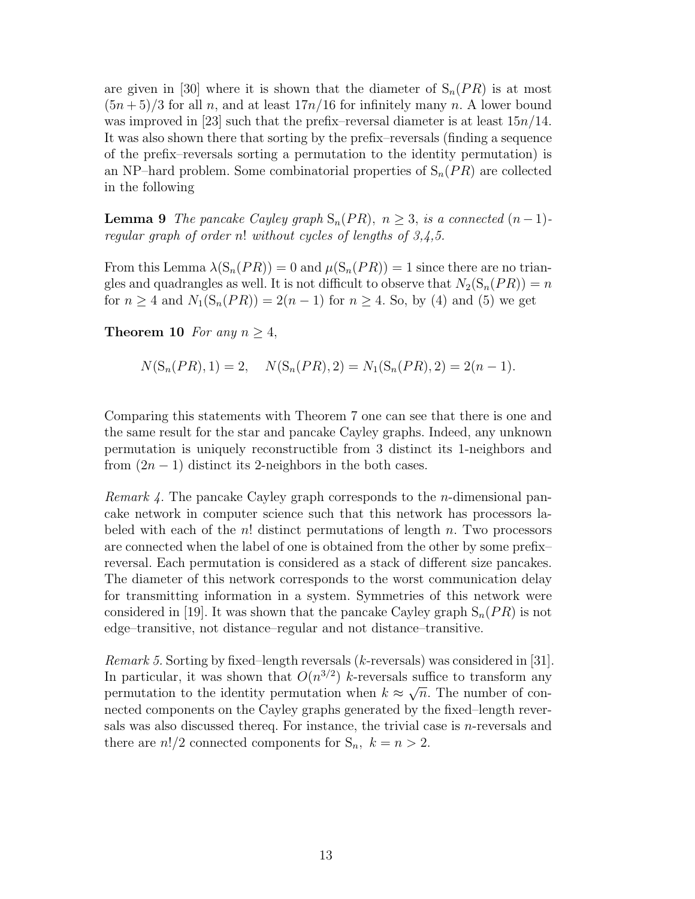are given in [30] where it is shown that the diameter of  $S_n(PR)$  is at most  $(5n+5)/3$  for all n, and at least  $17n/16$  for infinitely many n. A lower bound was improved in [23] such that the prefix–reversal diameter is at least  $15n/14$ . It was also shown there that sorting by the prefix–reversals (finding a sequence of the prefix–reversals sorting a permutation to the identity permutation) is an NP–hard problem. Some combinatorial properties of  $S_n(PR)$  are collected in the following

**Lemma 9** The pancake Cayley graph  $S_n(PR)$ ,  $n \geq 3$ , is a connected  $(n-1)$ regular graph of order n! without cycles of lengths of  $3,4,5$ .

From this Lemma  $\lambda(S_n(PR)) = 0$  and  $\mu(S_n(PR)) = 1$  since there are no triangles and quadrangles as well. It is not difficult to observe that  $N_2(S_n(PR)) = n$ for  $n \geq 4$  and  $N_1(S_n(PR)) = 2(n-1)$  for  $n \geq 4$ . So, by (4) and (5) we get

Theorem 10 For any  $n > 4$ ,

$$
N(S_n(PR), 1) = 2, \quad N(S_n(PR), 2) = N_1(S_n(PR), 2) = 2(n - 1).
$$

Comparing this statements with Theorem 7 one can see that there is one and the same result for the star and pancake Cayley graphs. Indeed, any unknown permutation is uniquely reconstructible from 3 distinct its 1-neighbors and from  $(2n - 1)$  distinct its 2-neighbors in the both cases.

Remark 4. The pancake Cayley graph corresponds to the n-dimensional pancake network in computer science such that this network has processors labeled with each of the n! distinct permutations of length n. Two processors are connected when the label of one is obtained from the other by some prefix– reversal. Each permutation is considered as a stack of different size pancakes. The diameter of this network corresponds to the worst communication delay for transmitting information in a system. Symmetries of this network were considered in [19]. It was shown that the pancake Cayley graph  $S_n(PR)$  is not edge–transitive, not distance–regular and not distance–transitive.

Remark 5. Sorting by fixed–length reversals (k-reversals) was considered in [31]. In particular, it was shown that  $O(n^{3/2})$  k-reversals suffice to transform any permutation to the identity permutation when  $k \approx \sqrt{n}$ . The number of connected components on the Cayley graphs generated by the fixed–length reversals was also discussed thereq. For instance, the trivial case is n-reversals and there are  $n!/2$  connected components for  $S_n$ ,  $k = n > 2$ .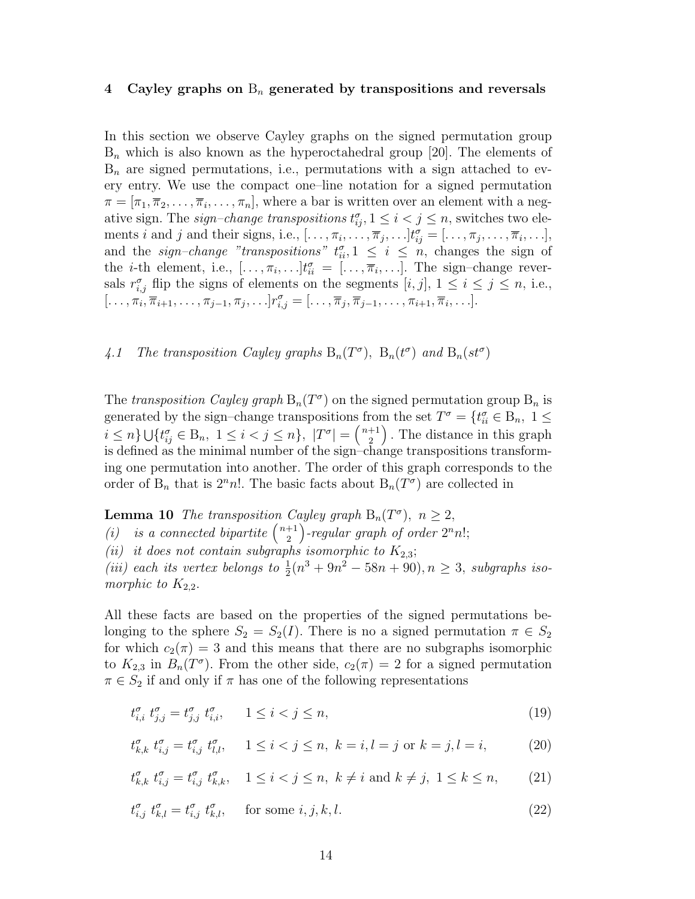### 4 Cayley graphs on  $B_n$  generated by transpositions and reversals

In this section we observe Cayley graphs on the signed permutation group  $B_n$  which is also known as the hyperoctahedral group [20]. The elements of  $B_n$  are signed permutations, i.e., permutations with a sign attached to every entry. We use the compact one–line notation for a signed permutation  $\pi = [\pi_1, \overline{\pi}_2, \ldots, \overline{\pi}_i, \ldots, \pi_n]$ , where a bar is written over an element with a negative sign. The *sign–change transpositions*  $t_{ij}^{\sigma}$ ,  $1 \leq i < j \leq n$ , switches two elements *i* and *j* and their signs, i.e.,  $[\ldots, \pi_i, \ldots, \overline{\pi}_j, \ldots] t_{ij}^{\sigma} = [\ldots, \pi_j, \ldots, \overline{\pi}_i, \ldots],$ and the sign-change "transpositions"  $t_{ii}^{\sigma}$ ,  $1 \leq i \leq n$ , changes the sign of the *i*-th element, i.e.,  $[\ldots, \pi_i, \ldots] t_{ii}^{\sigma} = [\ldots, \overline{\pi}_i, \ldots]$ . The sign-change reversals  $r_{i,j}^{\sigma}$  flip the signs of elements on the segments  $[i, j]$ ,  $1 \leq i \leq j \leq n$ , i.e.,  $[\ldots, \pi_i, \overline{\pi}_{i+1}, \ldots, \pi_{j-1}, \pi_j, \ldots] r_{i,j}^{\sigma} = [\ldots, \overline{\pi}_j, \overline{\pi}_{j-1}, \ldots, \pi_{i+1}, \overline{\pi}_i, \ldots].$ 

4.1 The transposition Cayley graphs  $B_n(T^{\sigma})$ ,  $B_n(t^{\sigma})$  and  $B_n(st^{\sigma})$ 

The transposition Cayley graph  $B_n(T^{\sigma})$  on the signed permutation group  $B_n$  is generated by the sign–change transpositions from the set  $T^{\sigma} = \{t_{ii}^{\sigma} \in B_n, 1 \leq$  $i \leq n \} \cup \{ t_{ij}^{\sigma} \in \text{B}_n, \; 1 \leq i < j \leq n \}, \; |T^{\sigma}| = \left( \frac{n+1}{2} \right)$  $\binom{+1}{2}$ . The distance in this graph is defined as the minimal number of the sign–change transpositions transforming one permutation into another. The order of this graph corresponds to the order of  $B_n$  that is  $2<sup>n</sup>n!$ . The basic facts about  $B_n(T<sup>\sigma</sup>)$  are collected in

**Lemma 10** The transposition Cayley graph  $B_n(T^{\sigma})$ ,  $n \geq 2$ ,

**Lemma 10** The transposition  $\alpha$ <br>(i) is a connected bipartite  $\binom{n+1}{2}$  $\binom{+1}{2}$ -regular graph of order  $2^n n!$ ;

(ii) it does not contain subgraphs isomorphic to  $K_{2,3}$ ;

(iii) each its vertex belongs to  $\frac{1}{2}(n^3 + 9n^2 - 58n + 90), n \ge 3$ , subgraphs isomorphic to  $K_{2,2}$ .

All these facts are based on the properties of the signed permutations belonging to the sphere  $S_2 = S_2(I)$ . There is no a signed permutation  $\pi \in S_2$ for which  $c_2(\pi) = 3$  and this means that there are no subgraphs isomorphic to  $K_{2,3}$  in  $B_n(T^{\sigma})$ . From the other side,  $c_2(\pi) = 2$  for a signed permutation  $\pi \in S_2$  if and only if  $\pi$  has one of the following representations

$$
t_{i,i}^{\sigma} t_{j,j}^{\sigma} = t_{j,j}^{\sigma} t_{i,i}^{\sigma}, \qquad 1 \le i < j \le n,\tag{19}
$$

$$
t_{k,k}^{\sigma} \ t_{i,j}^{\sigma} = t_{i,j}^{\sigma} \ t_{l,l}^{\sigma}, \quad 1 \le i < j \le n, \ k = i, l = j \text{ or } k = j, l = i,\tag{20}
$$

$$
t_{k,k}^{\sigma} \ t_{i,j}^{\sigma} = t_{i,j}^{\sigma} \ t_{k,k}^{\sigma}, \quad 1 \le i < j \le n, \ k \ne i \ \text{and} \ k \ne j, \ 1 \le k \le n,\tag{21}
$$

$$
t_{i,j}^{\sigma} t_{k,l}^{\sigma} = t_{i,j}^{\sigma} t_{k,l}^{\sigma}, \quad \text{for some } i, j, k, l. \tag{22}
$$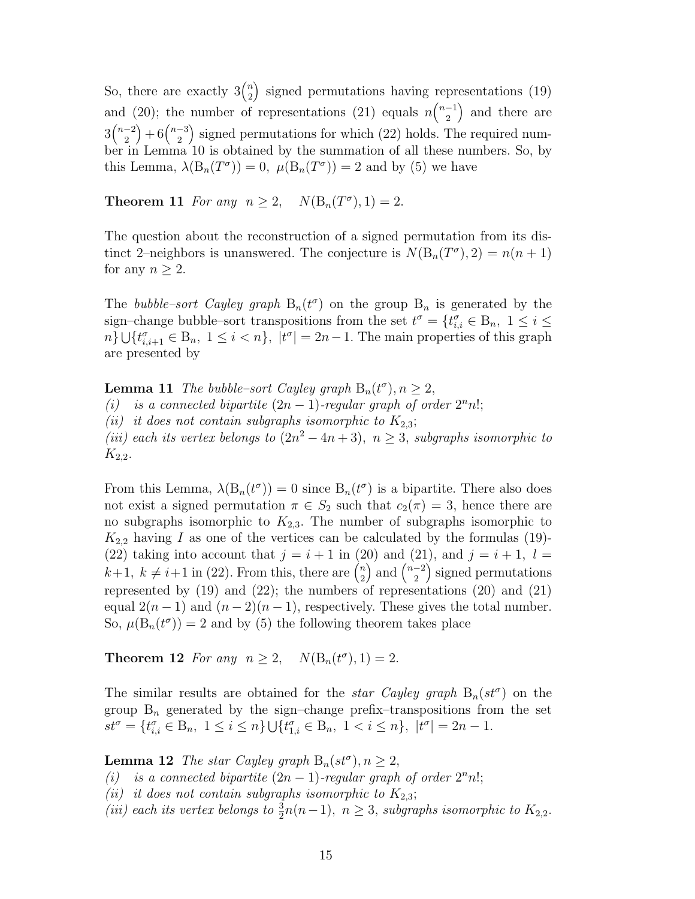So, there are exactly  $3\binom{n}{2}$ 2 ´ signed permutations having representations  $(19)$ and (20); the number of representations (21) equals  $n\binom{n-1}{2}$ nd (20); the number of representations (21) equals  $n\binom{n-1}{2}$  and there are  $3\binom{n-2}{2}$  $\binom{-2}{2} + 6\binom{n-3}{2}$  $\binom{-3}{2}$  signed permutations for which (22) holds. The required number in Lemma 10 is obtained by the summation of all these numbers. So, by this Lemma,  $\lambda(B_n(T^{\sigma})) = 0$ ,  $\mu(B_n(T^{\sigma})) = 2$  and by (5) we have

**Theorem 11** For any  $n \ge 2$ ,  $N(B_n(T^{\sigma}), 1) = 2$ .

The question about the reconstruction of a signed permutation from its distinct 2-neighbors is unanswered. The conjecture is  $N(B_n(T^{\sigma}), 2) = n(n + 1)$ for any  $n \geq 2$ .

The bubble-sort Cayley graph  $B_n(t^{\sigma})$  on the group  $B_n$  is generated by the sign–change bubble–sort transpositions from the set  $t^{\sigma} = \{t_{i,i}^{\sigma} \in B_n, 1 \leq i \leq$  $n\}\bigcup\{t_{i,i+1}^{\sigma}\in B_n, 1\leq i\leq n\},\ |t^{\sigma}|=2n-1.$  The main properties of this graph are presented by

**Lemma 11** The bubble-sort Cayley graph  $B_n(t^{\sigma})$ ,  $n \geq 2$ , (i) is a connected bipartite  $(2n - 1)$ -regular graph of order  $2<sup>n</sup>n!$ ; (ii) it does not contain subgraphs isomorphic to  $K_{2,3}$ ; (iii) each its vertex belongs to  $(2n^2 - 4n + 3)$ ,  $n \ge 3$ , subgraphs isomorphic to  $K_{2,2}$ .

From this Lemma,  $\lambda(B_n(t^{\sigma})) = 0$  since  $B_n(t^{\sigma})$  is a bipartite. There also does not exist a signed permutation  $\pi \in S_2$  such that  $c_2(\pi) = 3$ , hence there are no subgraphs isomorphic to  $K_{2,3}$ . The number of subgraphs isomorphic to  $K_{2,2}$  having I as one of the vertices can be calculated by the formulas (19)-(22) taking into account that  $j = i + 1$  in (20) and (21), and  $j = i + 1$ ,  $l =$ (22) taking mto account that  $j = i + 1$  in (2)<br> $k+1, k \neq i+1$  in (22). From this, there are  $\binom{n}{2}$  $\binom{n}{2}$  and  $\binom{n-2}{2}$  $\binom{-2}{2}$  signed permutations represented by  $(19)$  and  $(22)$ ; the numbers of representations  $(20)$  and  $(21)$ equal  $2(n-1)$  and  $(n-2)(n-1)$ , respectively. These gives the total number. So,  $\mu(B_n(t^{\sigma})) = 2$  and by (5) the following theorem takes place

**Theorem 12** For any  $n \ge 2$ ,  $N(B_n(t^{\sigma}), 1) = 2$ .

The similar results are obtained for the *star Cayley graph*  $B_n(st^{\sigma})$  on the group  $B_n$  generated by the sign–change prefix–transpositions from the set  $st^{\sigma} = \{t_{i,i}^{\sigma} \in B_n, 1 \leq i \leq n\} \cup \{t_{1,i}^{\sigma} \in B_n, 1 < i \leq n\}, |t^{\sigma}| = 2n - 1.$ 

**Lemma 12** The star Cayley graph  $B_n(st^{\sigma}), n \geq 2$ ,

(i) is a connected bipartite  $(2n - 1)$ -regular graph of order  $2<sup>n</sup>n!$ ;

(ii) it does not contain subgraphs isomorphic to  $K_{2,3}$ ;

(iii) each its vertex belongs to  $\frac{3}{2}n(n-1)$ ,  $n \geq 3$ , subgraphs isomorphic to  $K_{2,2}$ .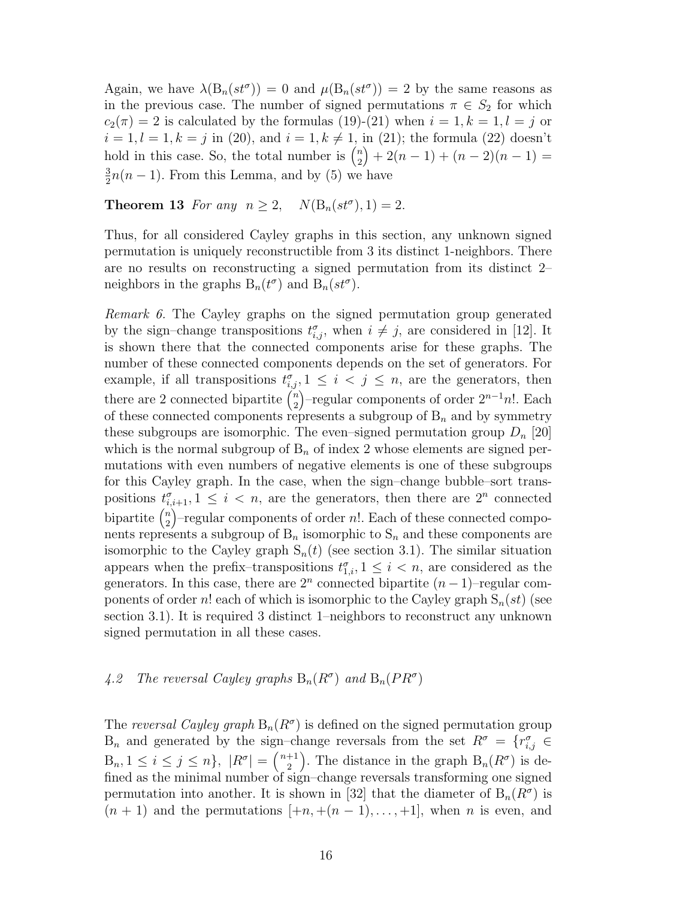Again, we have  $\lambda(B_n(st^{\sigma})) = 0$  and  $\mu(B_n(st^{\sigma})) = 2$  by the same reasons as in the previous case. The number of signed permutations  $\pi \in S_2$  for which  $c_2(\pi) = 2$  is calculated by the formulas (19)-(21) when  $i = 1, k = 1, l = j$  or  $i = 1, l = 1, k = j$  in (20), and  $i = 1, k \neq 1$ , in (21); the formula (22) doesn't  $u = 1, u = 1, \kappa - j$  in (20), and  $u = 1, \kappa \neq 1$ ,<br>hold in this case. So, the total number is  $\binom{n}{2}$  $\binom{n}{2} + 2(n-1) + (n-2)(n-1) =$ 3  $\frac{3}{2}n(n-1)$ . From this Lemma, and by (5) we have

**Theorem 13** For any  $n \ge 2$ ,  $N(B_n(st^{\sigma}), 1) = 2$ .

Thus, for all considered Cayley graphs in this section, any unknown signed permutation is uniquely reconstructible from 3 its distinct 1-neighbors. There are no results on reconstructing a signed permutation from its distinct 2– neighbors in the graphs  $B_n(t^{\sigma})$  and  $B_n(st^{\sigma})$ .

Remark 6. The Cayley graphs on the signed permutation group generated by the sign–change transpositions  $t_{i,j}^{\sigma}$ , when  $i \neq j$ , are considered in [12]. It is shown there that the connected components arise for these graphs. The number of these connected components depends on the set of generators. For example, if all transpositions  $t_{i,j}^{\sigma}$ ,  $1 \leq i < j \leq n$ , are the generators, then there are 2 connected bipartite  $\binom{n}{3}$  $\binom{n}{2}$ -regular components of order  $2^{n-1}n!$ . Each of these connected components represents a subgroup of  $B_n$  and by symmetry these subgroups are isomorphic. The even–signed permutation group  $D_n$  [20] which is the normal subgroup of  $B_n$  of index 2 whose elements are signed permutations with even numbers of negative elements is one of these subgroups for this Cayley graph. In the case, when the sign–change bubble–sort transpositions  $t_{i,i+1}^{\sigma}$ ,  $1 \leq i < n$ , are the generators, then there are  $2^{n}$  connected  $\frac{v_i}{\text{bipartite}} \left(\frac{n}{2}\right)$  $n \choose 2$  –regular components of order n!. Each of these connected components represents a subgroup of  $B_n$  isomorphic to  $S_n$  and these components are isomorphic to the Cayley graph  $S_n(t)$  (see section 3.1). The similar situation appears when the prefix-transpositions  $t_{1,i}^{\sigma}$ ,  $1 \leq i \leq n$ , are considered as the generators. In this case, there are  $2^n$  connected bipartite  $(n-1)$ –regular components of order n! each of which is isomorphic to the Cayley graph  $S_n(st)$  (see section 3.1). It is required 3 distinct 1–neighbors to reconstruct any unknown signed permutation in all these cases.

4.2 The reversal Cayley graphs  $B_n(R^{\sigma})$  and  $B_n(PR^{\sigma})$ 

The reversal Cayley graph  $B_n(R^{\sigma})$  is defined on the signed permutation group  $B_n$  and generated by the sign–change reversals from the set  $R^{\sigma} = \{r_{i,j}^{\sigma} \in$  $B_n, 1 \leq i \leq j \leq n\}, |R^{\sigma}| = \binom{n+1}{2}$  $\binom{+1}{2}$ . The distance in the graph  $B_n(R^{\sigma})$  is defined as the minimal number of sign–change reversals transforming one signed permutation into another. It is shown in [32] that the diameter of  $B_n(R^{\sigma})$  is  $(n + 1)$  and the permutations  $[+n, +(n-1),...,+1]$ , when n is even, and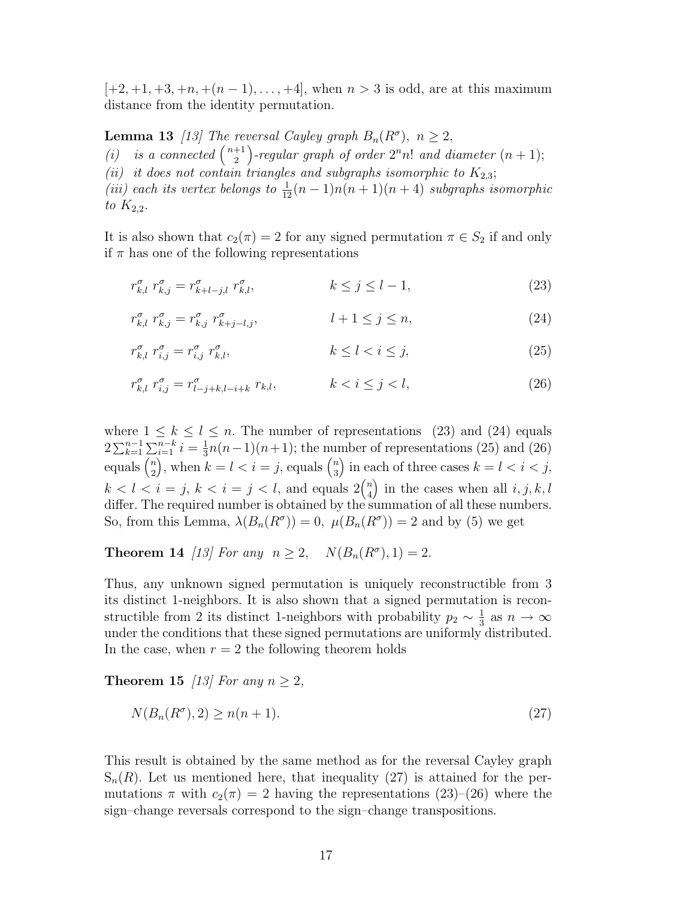$[-2, +1, +3, +n, +(n-1), \ldots, +4]$ , when  $n > 3$  is odd, are at this maximum distance from the identity permutation.

**Lemma 13** [13] The reversal Cayley graph  $B_n(R^{\sigma})$ ,  $n \geq 2$ ,<br>(i) is a connected  $\binom{n+1}{2}$ -regular graph of order  $2^n n!$  and d 2  $\frac{U}{\sqrt{2}}$ -regular graph of order  $2<sup>n</sup>n!$  and diameter  $(n + 1);$ (ii) it does not contain triangles and subgraphs isomorphic to  $K_{2,3}$ ; (iii) each its vertex belongs to  $\frac{1}{12}(n-1)n(n+1)(n+4)$  subgraphs isomorphic to  $K_{2,2}$ .

It is also shown that  $c_2(\pi) = 2$  for any signed permutation  $\pi \in S_2$  if and only if  $\pi$  has one of the following representations

$$
r_{k,l}^{\sigma} r_{k,j}^{\sigma} = r_{k+l-j,l}^{\sigma} r_{k,l}^{\sigma}, \qquad k \le j \le l-1,
$$
\n(23)

$$
r_{k,l}^{\sigma} r_{k,j}^{\sigma} = r_{k,j}^{\sigma} r_{k+j-l,j}^{\sigma}, \qquad l+1 \le j \le n,
$$
\n(24)

$$
r_{k,l}^{\sigma} r_{i,j}^{\sigma} = r_{i,j}^{\sigma} r_{k,l}^{\sigma}, \qquad k \le l < i \le j,\tag{25}
$$

$$
r_{k,l}^{\sigma} r_{i,j}^{\sigma} = r_{l-j+k,l-i+k}^{\sigma} r_{k,l}, \qquad k < i \le j < l,
$$
\n(26)

where  $1 \leq k \leq l \leq n$ . The number of representations (23) and (24) equals  $2\sum_{k=1}^{n-1}\sum_{i=1}^{n-k}i=\frac{1}{3}$  $\sum_{i=1}^{n-k} i = \frac{1}{3}n(n-1)(n+1)$ ; the number of representations (25) and (26)  $\omega \nightharpoonup_{k=1}^{\infty}$ <br>equals  $\binom{n}{2}$  $\sum_{i=1}^{n} i - \frac{1}{3}h(h-1)(h+1)$ , the num<br>  $\sum_{i=1}^{n} j$ , when  $k = l < i = j$ , equals  $\binom{n}{3}$  $\binom{n}{3}$  in each of three cases  $k = l < i < j$ ,  $k < l < i = j, k < i = j < l$ , and equals  $2{n \choose l}$  $\binom{n}{4}$  in the cases when all  $i, j, k, l$ differ. The required number is obtained by the summation of all these numbers. So, from this Lemma,  $\lambda(B_n(R^{\sigma})) = 0$ ,  $\mu(B_n(R^{\sigma})) = 2$  and by (5) we get

**Theorem 14** [13] For any  $n \ge 2$ ,  $N(B_n(R^{\sigma}), 1) = 2$ .

Thus, any unknown signed permutation is uniquely reconstructible from 3 its distinct 1-neighbors. It is also shown that a signed permutation is reconstructible from 2 its distinct 1-neighbors with probability  $p_2 \sim \frac{1}{3}$  $\frac{1}{3}$  as  $n \to \infty$ under the conditions that these signed permutations are uniformly distributed. In the case, when  $r = 2$  the following theorem holds

**Theorem 15** [13] For any  $n \geq 2$ ,

$$
N(B_n(R^{\sigma}), 2) \ge n(n+1). \tag{27}
$$

This result is obtained by the same method as for the reversal Cayley graph  $S_n(R)$ . Let us mentioned here, that inequality (27) is attained for the permutations  $\pi$  with  $c_2(\pi) = 2$  having the representations (23)–(26) where the sign–change reversals correspond to the sign–change transpositions.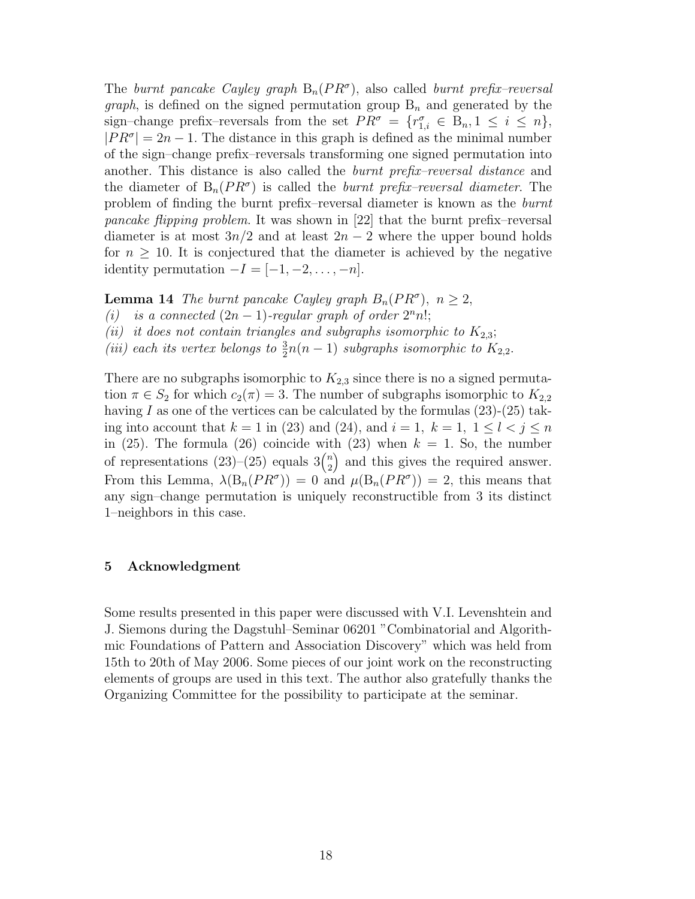The burnt pancake Cayley graph  $B_n(PR^{\sigma})$ , also called burnt prefix-reversal *graph*, is defined on the signed permutation group  $B_n$  and generated by the sign–change prefix–reversals from the set  $PR^{\sigma} = \{r_{1,i}^{\sigma} \in B_n, 1 \le i \le n\},\$  $|PR^{\sigma}| = 2n - 1$ . The distance in this graph is defined as the minimal number of the sign–change prefix–reversals transforming one signed permutation into another. This distance is also called the *burnt prefix–reversal distance* and the diameter of  $B_n(PR^{\sigma})$  is called the *burnt prefix–reversal diameter*. The problem of finding the burnt prefix–reversal diameter is known as the burnt pancake flipping problem. It was shown in [22] that the burnt prefix–reversal diameter is at most  $3n/2$  and at least  $2n-2$  where the upper bound holds for  $n \geq 10$ . It is conjectured that the diameter is achieved by the negative identity permutation  $-I = [-1, -2, \ldots, -n].$ 

**Lemma 14** The burnt pancake Cayley graph  $B_n(PR^{\sigma})$ ,  $n \geq 2$ ,

- (i) is a connected  $(2n 1)$ -regular graph of order  $2<sup>n</sup>n!$ ;
- (ii) it does not contain triangles and subgraphs isomorphic to  $K_{2,3}$ ;
- (iii) each its vertex belongs to  $\frac{3}{2}n(n-1)$  subgraphs isomorphic to  $K_{2,2}$ .

There are no subgraphs isomorphic to  $K_{2,3}$  since there is no a signed permutation  $\pi \in S_2$  for which  $c_2(\pi) = 3$ . The number of subgraphs isomorphic to  $K_{2,2}$ having  $I$  as one of the vertices can be calculated by the formulas  $(23)-(25)$  taking into account that  $k = 1$  in (23) and (24), and  $i = 1, k = 1, 1 \leq l < j \leq n$ in (25). The formula (26) coincide with (23) when  $k = 1$ . So, the number of representations  $(23)$ – $(25)$  equals  $3\binom{n}{2}$  $n_2$ ) and this gives the required answer. From this Lemma,  $\lambda(B_n(PR^{\sigma})) = 0$  and  $\mu(B_n(PR^{\sigma})) = 2$ , this means that any sign–change permutation is uniquely reconstructible from 3 its distinct 1–neighbors in this case.

# 5 Acknowledgment

Some results presented in this paper were discussed with V.I. Levenshtein and J. Siemons during the Dagstuhl–Seminar 06201 "Combinatorial and Algorithmic Foundations of Pattern and Association Discovery" which was held from 15th to 20th of May 2006. Some pieces of our joint work on the reconstructing elements of groups are used in this text. The author also gratefully thanks the Organizing Committee for the possibility to participate at the seminar.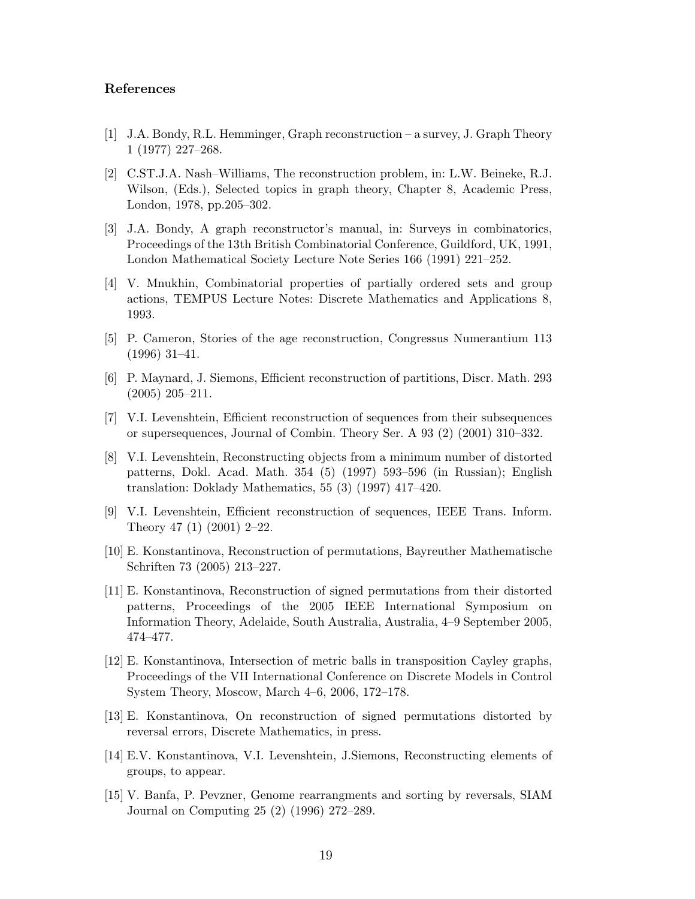## References

- [1] J.A. Bondy, R.L. Hemminger, Graph reconstruction a survey, J. Graph Theory 1 (1977) 227–268.
- [2] C.ST.J.A. Nash–Williams, The reconstruction problem, in: L.W. Beineke, R.J. Wilson, (Eds.), Selected topics in graph theory, Chapter 8, Academic Press, London, 1978, pp.205–302.
- [3] J.A. Bondy, A graph reconstructor's manual, in: Surveys in combinatorics, Proceedings of the 13th British Combinatorial Conference, Guildford, UK, 1991, London Mathematical Society Lecture Note Series 166 (1991) 221–252.
- [4] V. Mnukhin, Combinatorial properties of partially ordered sets and group actions, TEMPUS Lecture Notes: Discrete Mathematics and Applications 8, 1993.
- [5] P. Cameron, Stories of the age reconstruction, Congressus Numerantium 113 (1996) 31–41.
- [6] P. Maynard, J. Siemons, Efficient reconstruction of partitions, Discr. Math. 293 (2005) 205–211.
- [7] V.I. Levenshtein, Efficient reconstruction of sequences from their subsequences or supersequences, Journal of Combin. Theory Ser. A 93 (2) (2001) 310–332.
- [8] V.I. Levenshtein, Reconstructing objects from a minimum number of distorted patterns, Dokl. Acad. Math. 354 (5) (1997) 593–596 (in Russian); English translation: Doklady Mathematics, 55 (3) (1997) 417–420.
- [9] V.I. Levenshtein, Efficient reconstruction of sequences, IEEE Trans. Inform. Theory 47 (1) (2001) 2–22.
- [10] E. Konstantinova, Reconstruction of permutations, Bayreuther Mathematische Schriften 73 (2005) 213–227.
- [11] E. Konstantinova, Reconstruction of signed permutations from their distorted patterns, Proceedings of the 2005 IEEE International Symposium on Information Theory, Adelaide, South Australia, Australia, 4–9 September 2005, 474–477.
- [12] E. Konstantinova, Intersection of metric balls in transposition Cayley graphs, Proceedings of the VII International Conference on Discrete Models in Control System Theory, Moscow, March 4–6, 2006, 172–178.
- [13] E. Konstantinova, On reconstruction of signed permutations distorted by reversal errors, Discrete Mathematics, in press.
- [14] E.V. Konstantinova, V.I. Levenshtein, J.Siemons, Reconstructing elements of groups, to appear.
- [15] V. Banfa, P. Pevzner, Genome rearrangments and sorting by reversals, SIAM Journal on Computing 25 (2) (1996) 272–289.